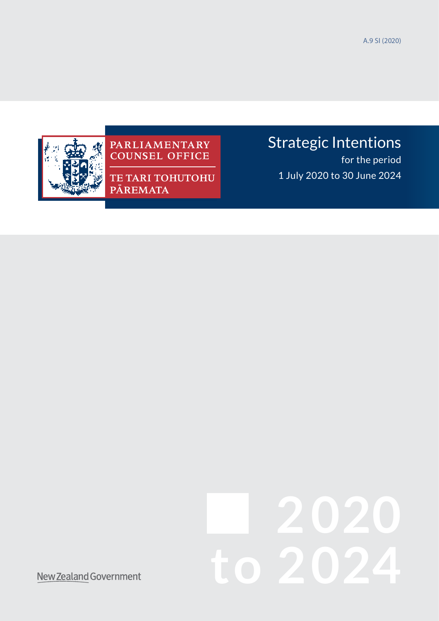A.9 SI (2020)



## PARLIAMENTARY<br>COUNSEL OFFICE

**TE TARI TOHUTOHU** PĀREMATA

## Strategic Intentions

for the period 1 July 2020 to 30 June 2024

# **2 020 to 2024**

New Zealand Government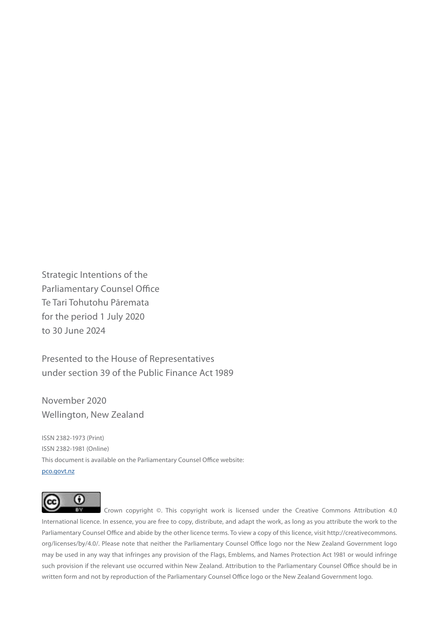Strategic Intentions of the Parliamentary Counsel Office Te Tari Tohutohu Pāremata for the period 1 July 2020 to 30 June 2024

Presented to the House of Representatives under section 39 of the Public Finance Act 1989

November 2020 Wellington, New Zealand

ISSN 2382-1973 (Print) ISSN 2382-1981 (Online) This document is available on the Parliamentary Counsel Office website: [pco.govt.nz](pco.govt.nz
)

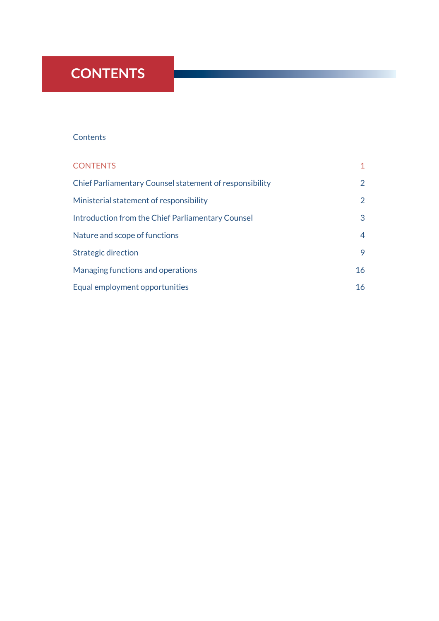### **CONTENTS**

#### **Contents**

| <b>CONTENTS</b>                                         | $\mathbf{1}$   |
|---------------------------------------------------------|----------------|
| Chief Parliamentary Counsel statement of responsibility | $\overline{2}$ |
| Ministerial statement of responsibility                 | 2              |
| Introduction from the Chief Parliamentary Counsel       | 3              |
| Nature and scope of functions                           | 4              |
| <b>Strategic direction</b>                              | 9              |
| Managing functions and operations                       | 16             |
| Equal employment opportunities                          | 16             |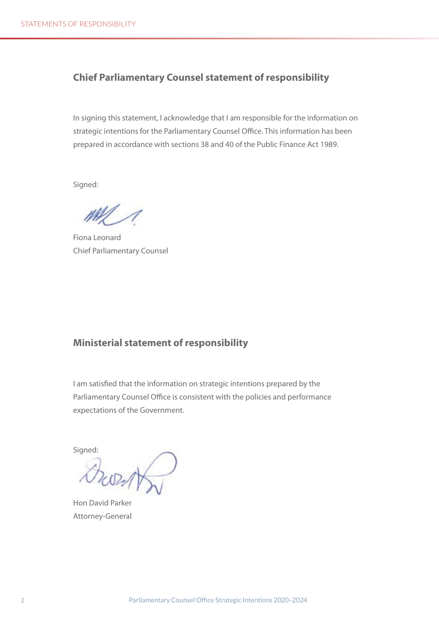#### <span id="page-3-0"></span>**Chief Parliamentary Counsel statement of responsibility**

In signing this statement, I acknowledge that I am responsible for the information on strategic intentions for the Parliamentary Counsel Office. This information has been prepared in accordance with sections 38 and 40 of the Public Finance Act 1989.

Signed:

Fiona Leonard Chief Parliamentary Counsel

#### **Ministerial statement of responsibility**

I am satisfied that the information on strategic intentions prepared by the Parliamentary Counsel Office is consistent with the policies and performance expectations of the Government.

Signed:

Hon David Parker Attorney-General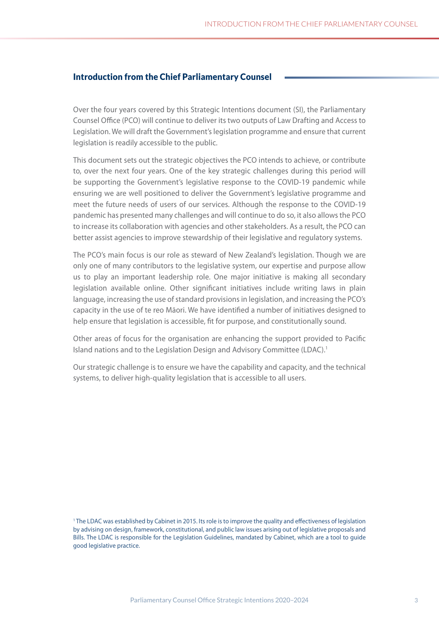#### <span id="page-4-0"></span>Introduction from the Chief Parliamentary Counsel

Over the four years covered by this Strategic Intentions document (SI), the Parliamentary Counsel Office (PCO) will continue to deliver its two outputs of Law Drafting and Access to Legislation. We will draft the Government's legislation programme and ensure that current legislation is readily accessible to the public.

This document sets out the strategic objectives the PCO intends to achieve, or contribute to, over the next four years. One of the key strategic challenges during this period will be supporting the Government's legislative response to the COVID-19 pandemic while ensuring we are well positioned to deliver the Government's legislative programme and meet the future needs of users of our services. Although the response to the COVID-19 pandemic has presented many challenges and will continue to do so, it also allows the PCO to increase its collaboration with agencies and other stakeholders. As a result, the PCO can better assist agencies to improve stewardship of their legislative and regulatory systems.

The PCO's main focus is our role as steward of New Zealand's legislation. Though we are only one of many contributors to the legislative system, our expertise and purpose allow us to play an important leadership role. One major initiative is making all secondary legislation available online. Other significant initiatives include writing laws in plain language, increasing the use of standard provisions in legislation, and increasing the PCO's capacity in the use of te reo Māori. We have identified a number of initiatives designed to help ensure that legislation is accessible, fit for purpose, and constitutionally sound.

Other areas of focus for the organisation are enhancing the support provided to Pacific Island nations and to the Legislation Design and Advisory Committee (LDAC).<sup>1</sup>

Our strategic challenge is to ensure we have the capability and capacity, and the technical systems, to deliver high-quality legislation that is accessible to all users.

1 The LDAC was established by Cabinet in 2015. Its role is to improve the quality and effectiveness of legislation by advising on design, framework, constitutional, and public law issues arising out of legislative proposals and Bills. The LDAC is responsible for the Legislation Guidelines, mandated by Cabinet, which are a tool to guide good legislative practice.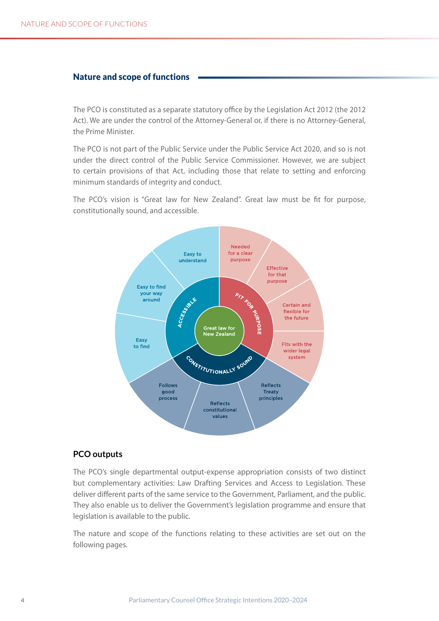#### <span id="page-5-0"></span>Nature and scope of functions

The PCO is constituted as a separate statutory office by the Legislation Act 2012 (the 2012 Act). We are under the control of the Attorney-General or, if there is no Attorney-General, the Prime Minister.

The PCO is not part of the Public Service under the Public Service Act 2020, and so is not under the direct control of the Public Service Commissioner. However, we are subject to certain provisions of that Act, including those that relate to setting and enforcing minimum standards of integrity and conduct.

The PCO's vision is "Great law for New Zealand". Great law must be fit for purpose, constitutionally sound, and accessible.



#### **PCO outputs**

The PCO's single departmental output-expense appropriation consists of two distinct but complementary activities: Law Drafting Services and Access to Legislation. These deliver different parts of the same service to the Government, Parliament, and the public. They also enable us to deliver the Government's legislation programme and ensure that legislation is available to the public.

The nature and scope of the functions relating to these activities are set out on the following pages.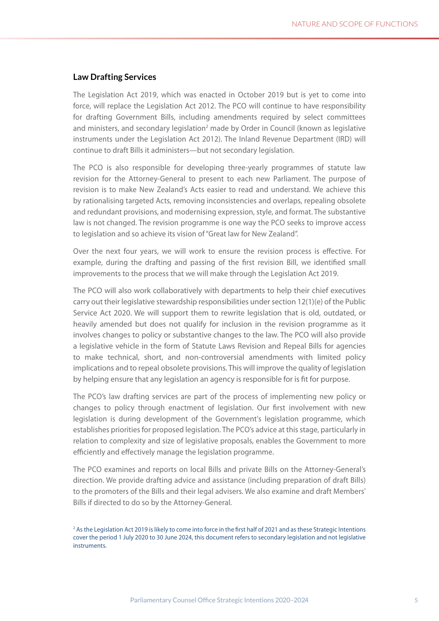#### **Law Drafting Services**

The Legislation Act 2019, which was enacted in October 2019 but is yet to come into force, will replace the Legislation Act 2012. The PCO will continue to have responsibility for drafting Government Bills, including amendments required by select committees and ministers, and secondary legislation<sup>2</sup> made by Order in Council (known as legislative instruments under the Legislation Act 2012). The Inland Revenue Department (IRD) will continue to draft Bills it administers—but not secondary legislation.

The PCO is also responsible for developing three-yearly programmes of statute law revision for the Attorney-General to present to each new Parliament. The purpose of revision is to make New Zealand's Acts easier to read and understand. We achieve this by rationalising targeted Acts, removing inconsistencies and overlaps, repealing obsolete and redundant provisions, and modernising expression, style, and format. The substantive law is not changed. The revision programme is one way the PCO seeks to improve access to legislation and so achieve its vision of "Great law for New Zealand".

Over the next four years, we will work to ensure the revision process is effective. For example, during the drafting and passing of the first revision Bill, we identified small improvements to the process that we will make through the Legislation Act 2019.

The PCO will also work collaboratively with departments to help their chief executives carry out their legislative stewardship responsibilities under section 12(1)(e) of the Public Service Act 2020. We will support them to rewrite legislation that is old, outdated, or heavily amended but does not qualify for inclusion in the revision programme as it involves changes to policy or substantive changes to the law. The PCO will also provide a legislative vehicle in the form of Statute Laws Revision and Repeal Bills for agencies to make technical, short, and non-controversial amendments with limited policy implications and to repeal obsolete provisions. This will improve the quality of legislation by helping ensure that any legislation an agency is responsible for is fit for purpose.

The PCO's law drafting services are part of the process of implementing new policy or changes to policy through enactment of legislation. Our first involvement with new legislation is during development of the Government's legislation programme, which establishes priorities for proposed legislation. The PCO's advice at this stage, particularly in relation to complexity and size of legislative proposals, enables the Government to more efficiently and effectively manage the legislation programme.

The PCO examines and reports on local Bills and private Bills on the Attorney-General's direction. We provide drafting advice and assistance (including preparation of draft Bills) to the promoters of the Bills and their legal advisers. We also examine and draft Members' Bills if directed to do so by the Attorney-General.

<sup>2</sup> As the Legislation Act 2019 is likely to come into force in the first half of 2021 and as these Strategic Intentions cover the period 1 July 2020 to 30 June 2024, this document refers to secondary legislation and not legislative instruments.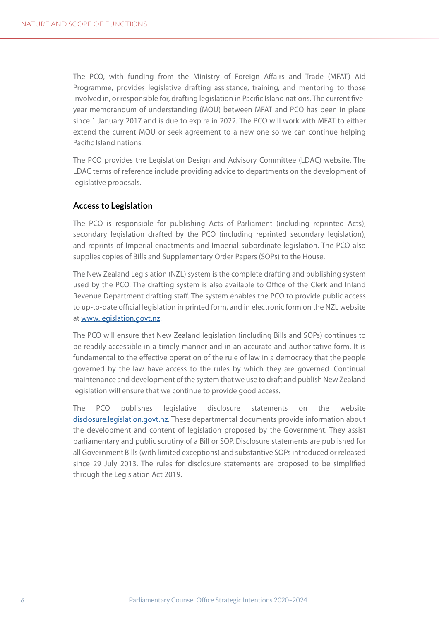The PCO, with funding from the Ministry of Foreign Affairs and Trade (MFAT) Aid Programme, provides legislative drafting assistance, training, and mentoring to those involved in, or responsible for, drafting legislation in Pacific Island nations. The current fiveyear memorandum of understanding (MOU) between MFAT and PCO has been in place since 1 January 2017 and is due to expire in 2022. The PCO will work with MFAT to either extend the current MOU or seek agreement to a new one so we can continue helping Pacific Island nations.

The PCO provides the Legislation Design and Advisory Committee (LDAC) website. The LDAC terms of reference include providing advice to departments on the development of legislative proposals.

#### **Access to Legislation**

The PCO is responsible for publishing Acts of Parliament (including reprinted Acts), secondary legislation drafted by the PCO (including reprinted secondary legislation), and reprints of Imperial enactments and Imperial subordinate legislation. The PCO also supplies copies of Bills and Supplementary Order Papers (SOPs) to the House.

The New Zealand Legislation (NZL) system is the complete drafting and publishing system used by the PCO. The drafting system is also available to Office of the Clerk and Inland Revenue Department drafting staff. The system enables the PCO to provide public access to up-to-date official legislation in printed form, and in electronic form on the NZL website at<www.legislation.govt.nz>.

The PCO will ensure that New Zealand legislation (including Bills and SOPs) continues to be readily accessible in a timely manner and in an accurate and authoritative form. It is fundamental to the effective operation of the rule of law in a democracy that the people governed by the law have access to the rules by which they are governed. Continual maintenance and development of the system that we use to draft and publish New Zealand legislation will ensure that we continue to provide good access.

The PCO publishes legislative disclosure statements on the website [disclosure.legislation.govt.nz.](disclosure.legislation.govt.nz) These departmental documents provide information about the development and content of legislation proposed by the Government. They assist parliamentary and public scrutiny of a Bill or SOP. Disclosure statements are published for all Government Bills (with limited exceptions) and substantive SOPs introduced or released since 29 July 2013. The rules for disclosure statements are proposed to be simplified through the Legislation Act 2019.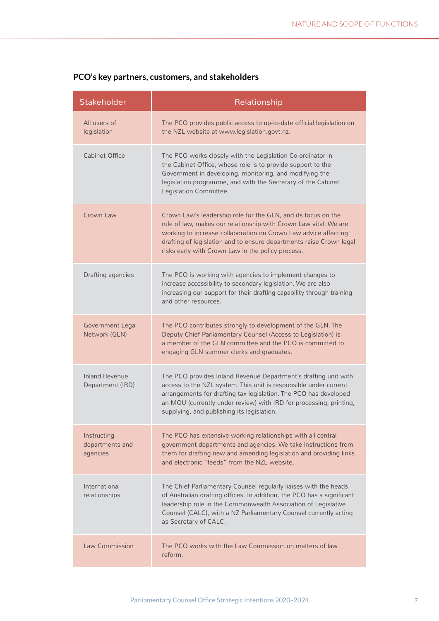| Stakeholder                                | Relationship                                                                                                                                                                                                                                                                                                                     |  |
|--------------------------------------------|----------------------------------------------------------------------------------------------------------------------------------------------------------------------------------------------------------------------------------------------------------------------------------------------------------------------------------|--|
| All users of<br>legislation                | The PCO provides public access to up-to-date official legislation on<br>the NZL website at www.legislation.govt.nz.                                                                                                                                                                                                              |  |
| Cabinet Office                             | The PCO works closely with the Legislation Co-ordinator in<br>the Cabinet Office, whose role is to provide support to the<br>Government in developing, monitoring, and modifying the<br>legislation programme, and with the Secretary of the Cabinet<br>Legislation Committee.                                                   |  |
| Crown Law                                  | Crown Law's leadership role for the GLN, and its focus on the<br>rule of law, makes our relationship with Crown Law vital. We are<br>working to increase collaboration on Crown Law advice affecting<br>drafting of legislation and to ensure departments raise Crown legal<br>risks early with Crown Law in the policy process. |  |
| <b>Drafting agencies</b>                   | The PCO is working with agencies to implement changes to<br>increase accessibility to secondary legislation. We are also<br>increasing our support for their drafting capability through training<br>and other resources.                                                                                                        |  |
| <b>Government Legal</b><br>Network (GLN)   | The PCO contributes strongly to development of the GLN. The<br>Deputy Chief Parliamentary Counsel (Access to Legislation) is<br>a member of the GLN committee and the PCO is committed to<br>engaging GLN summer clerks and graduates.                                                                                           |  |
| <b>Inland Revenue</b><br>Department (IRD)  | The PCO provides Inland Revenue Department's drafting unit with<br>access to the NZL system. This unit is responsible under current<br>arrangements for drafting tax legislation. The PCO has developed<br>an MOU (currently under review) with IRD for processing, printing,<br>supplying, and publishing its legislation.      |  |
| Instructing<br>departments and<br>agencies | The PCO has extensive working relationships with all central<br>government departments and agencies. We take instructions from<br>them for drafting new and amending legislation and providing links<br>and electronic "feeds" from the NZL website.                                                                             |  |
| International<br>relationships             | The Chief Parliamentary Counsel regularly liaises with the heads<br>of Australian drafting offices. In addition, the PCO has a significant<br>leadership role in the Commonwealth Association of Legislative<br>Counsel (CALC), with a NZ Parliamentary Counsel currently acting<br>as Secretary of CALC.                        |  |
| Law Commission                             | The PCO works with the Law Commission on matters of law<br>reform.                                                                                                                                                                                                                                                               |  |

#### **PCO's key partners, customers, and stakeholders**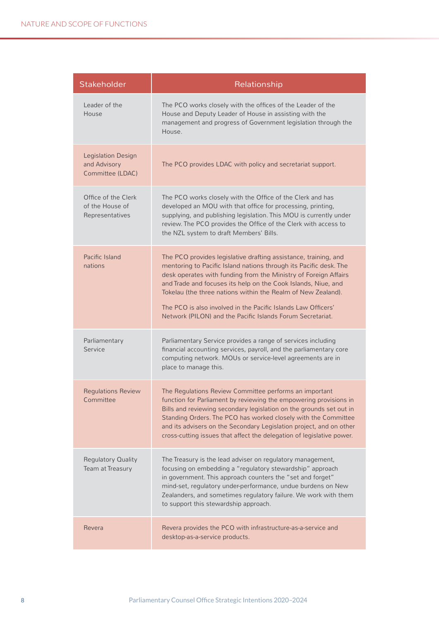| Stakeholder                                                   | Relationship                                                                                                                                                                                                                                                                                                                                                                                                                                                            |
|---------------------------------------------------------------|-------------------------------------------------------------------------------------------------------------------------------------------------------------------------------------------------------------------------------------------------------------------------------------------------------------------------------------------------------------------------------------------------------------------------------------------------------------------------|
| Leader of the<br>House                                        | The PCO works closely with the offices of the Leader of the<br>House and Deputy Leader of House in assisting with the<br>management and progress of Government legislation through the<br>House.                                                                                                                                                                                                                                                                        |
| <b>Legislation Design</b><br>and Advisory<br>Committee (LDAC) | The PCO provides LDAC with policy and secretariat support.                                                                                                                                                                                                                                                                                                                                                                                                              |
| Office of the Clerk<br>of the House of<br>Representatives     | The PCO works closely with the Office of the Clerk and has<br>developed an MOU with that office for processing, printing,<br>supplying, and publishing legislation. This MOU is currently under<br>review. The PCO provides the Office of the Clerk with access to<br>the NZL system to draft Members' Bills.                                                                                                                                                           |
| Pacific Island<br>nations                                     | The PCO provides legislative drafting assistance, training, and<br>mentoring to Pacific Island nations through its Pacific desk. The<br>desk operates with funding from the Ministry of Foreign Affairs<br>and Trade and focuses its help on the Cook Islands, Niue, and<br>Tokelau (the three nations within the Realm of New Zealand).<br>The PCO is also involved in the Pacific Islands Law Officers'<br>Network (PILON) and the Pacific Islands Forum Secretariat. |
| Parliamentary<br>Service                                      | Parliamentary Service provides a range of services including<br>financial accounting services, payroll, and the parliamentary core<br>computing network. MOUs or service-level agreements are in<br>place to manage this.                                                                                                                                                                                                                                               |
| <b>Regulations Review</b><br>Committee                        | The Regulations Review Committee performs an important<br>function for Parliament by reviewing the empowering provisions in<br>Bills and reviewing secondary legislation on the grounds set out in<br>Standing Orders. The PCO has worked closely with the Committee<br>and its advisers on the Secondary Legislation project, and on other<br>cross-cutting issues that affect the delegation of legislative power.                                                    |
| <b>Regulatory Quality</b><br>Team at Treasury                 | The Treasury is the lead adviser on regulatory management,<br>focusing on embedding a "regulatory stewardship" approach<br>in government. This approach counters the "set and forget"<br>mind-set, regulatory under-performance, undue burdens on New<br>Zealanders, and sometimes regulatory failure. We work with them<br>to support this stewardship approach.                                                                                                       |
| Revera                                                        | Revera provides the PCO with infrastructure-as-a-service and<br>desktop-as-a-service products.                                                                                                                                                                                                                                                                                                                                                                          |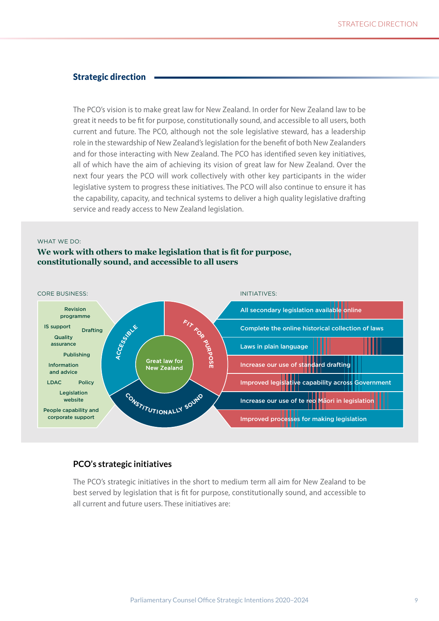#### <span id="page-10-0"></span>Strategic direction

The PCO's vision is to make great law for New Zealand. In order for New Zealand law to be great it needs to be fit for purpose, constitutionally sound, and accessible to all users, both current and future. The PCO, although not the sole legislative steward, has a leadership role in the stewardship of New Zealand's legislation for the benefit of both New Zealanders and for those interacting with New Zealand. The PCO has identified seven key initiatives, all of which have the aim of achieving its vision of great law for New Zealand. Over the next four years the PCO will work collectively with other key participants in the wider legislative system to progress these initiatives. The PCO will also continue to ensure it has the capability, capacity, and technical systems to deliver a high quality legislative drafting service and ready access to New Zealand legislation.

#### WHAT WE DO:

#### We work with others to make legislation that is fit for purpose, **constitutionally sound, and accessible to all users**



#### **PCO's strategic initiatives**

The PCO's strategic initiatives in the short to medium term all aim for New Zealand to be best served by legislation that is fit for purpose, constitutionally sound, and accessible to all current and future users. These initiatives are: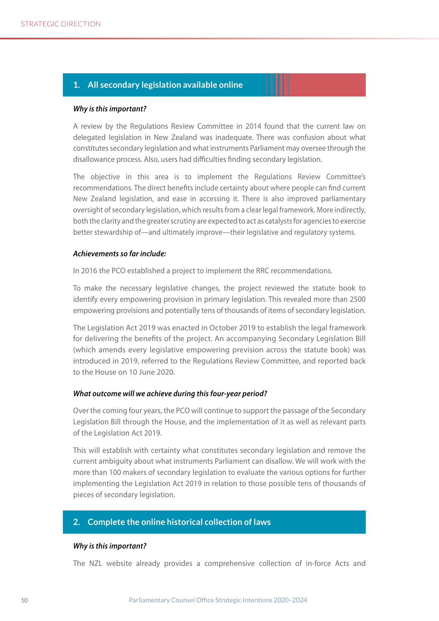#### **1. All secondary legislation available online**

#### *Why is this important?*

A review by the Regulations Review Committee in 2014 found that the current law on delegated legislation in New Zealand was inadequate. There was confusion about what constitutes secondary legislation and what instruments Parliament may oversee through the disallowance process. Also, users had difficulties finding secondary legislation.

The objective in this area is to implement the Regulations Review Committee's recommendations. The direct benefits include certainty about where people can find current New Zealand legislation, and ease in accessing it. There is also improved parliamentary oversight of secondary legislation, which results from a clear legal framework. More indirectly, both the clarity and the greater scrutiny are expected to act as catalysts for agencies to exercise better stewardship of—and ultimately improve—their legislative and regulatory systems.

#### *Achievements so far include:*

In 2016 the PCO established a project to implement the RRC recommendations.

To make the necessary legislative changes, the project reviewed the statute book to identify every empowering provision in primary legislation. This revealed more than 2500 empowering provisions and potentially tens of thousands of items of secondary legislation.

The Legislation Act 2019 was enacted in October 2019 to establish the legal framework for delivering the benefits of the project. An accompanying Secondary Legislation Bill (which amends every legislative empowering prevision across the statute book) was introduced in 2019, referred to the Regulations Review Committee, and reported back to the House on 10 June 2020.

#### *What outcome will we achieve during this four-year period?*

Over the coming four years, the PCO will continue to support the passage of the Secondary Legislation Bill through the House, and the implementation of it as well as relevant parts of the Legislation Act 2019.

This will establish with certainty what constitutes secondary legislation and remove the current ambiguity about what instruments Parliament can disallow. We will work with the more than 100 makers of secondary legislation to evaluate the various options for further implementing the Legislation Act 2019 in relation to those possible tens of thousands of pieces of secondary legislation.

#### **2. Complete the online historical collection of laws**

#### *Why is this important?*

The NZL website already provides a comprehensive collection of in-force Acts and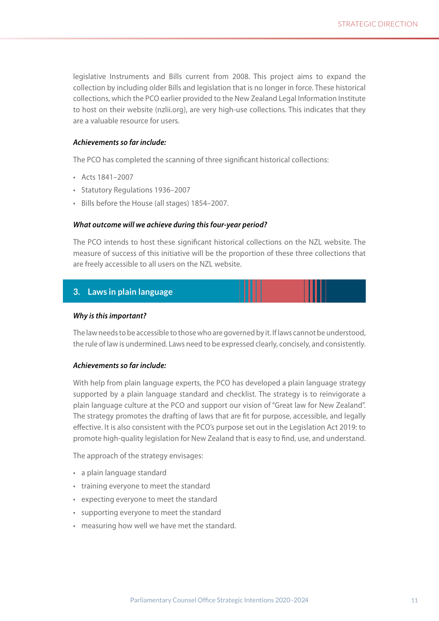legislative Instruments and Bills current from 2008. This project aims to expand the collection by including older Bills and legislation that is no longer in force. These historical collections, which the PCO earlier provided to the New Zealand Legal Information Institute to host on their website (nzlii.org), are very high-use collections. This indicates that they are a valuable resource for users.

#### *Achievements so far include:*

The PCO has completed the scanning of three significant historical collections:

- Acts 1841–2007
- Statutory Regulations 1936–2007
- Bills before the House (all stages) 1854–2007.

#### *What outcome will we achieve during this four-year period?*

The PCO intends to host these significant historical collections on the NZL website. The measure of success of this initiative will be the proportion of these three collections that are freely accessible to all users on the NZL website.

#### **3. Laws in plain language**

#### *Why is this important?*

The law needs to be accessible to those who are governed by it. If laws cannot be understood, the rule of law is undermined. Laws need to be expressed clearly, concisely, and consistently.

#### *Achievements so far include:*

With help from plain language experts, the PCO has developed a plain language strategy supported by a plain language standard and checklist. The strategy is to reinvigorate a plain language culture at the PCO and support our vision of "Great law for New Zealand". The strategy promotes the drafting of laws that are fit for purpose, accessible, and legally effective. It is also consistent with the PCO's purpose set out in the Legislation Act 2019: to promote high-quality legislation for New Zealand that is easy to find, use, and understand.

The approach of the strategy envisages:

- a plain language standard
- training everyone to meet the standard
- expecting everyone to meet the standard
- supporting everyone to meet the standard
- measuring how well we have met the standard.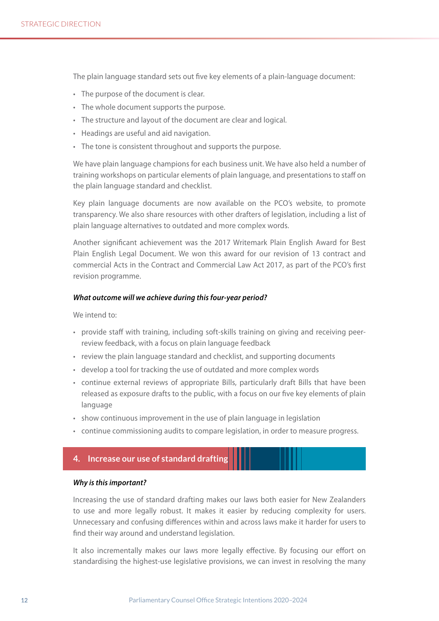The plain language standard sets out five key elements of a plain-language document:

- The purpose of the document is clear.
- The whole document supports the purpose.
- The structure and layout of the document are clear and logical.
- Headings are useful and aid navigation.
- The tone is consistent throughout and supports the purpose.

We have plain language champions for each business unit. We have also held a number of training workshops on particular elements of plain language, and presentations to staff on the plain language standard and checklist.

Key plain language documents are now available on the PCO's website, to promote transparency. We also share resources with other drafters of legislation, including a list of plain language alternatives to outdated and more complex words.

Another significant achievement was the 2017 Writemark Plain English Award for Best Plain English Legal Document. We won this award for our revision of 13 contract and commercial Acts in the Contract and Commercial Law Act 2017, as part of the PCO's first revision programme.

#### *What outcome will we achieve during this four-year period?*

We intend to:

- provide staff with training, including soft-skills training on giving and receiving peerreview feedback, with a focus on plain language feedback
- review the plain language standard and checklist, and supporting documents
- develop a tool for tracking the use of outdated and more complex words
- continue external reviews of appropriate Bills, particularly draft Bills that have been released as exposure drafts to the public, with a focus on our five key elements of plain language
- show continuous improvement in the use of plain language in legislation
- continue commissioning audits to compare legislation, in order to measure progress.

#### **4. Increase our use of standard drafting**

#### *Why is this important?*

Increasing the use of standard drafting makes our laws both easier for New Zealanders to use and more legally robust. It makes it easier by reducing complexity for users. Unnecessary and confusing differences within and across laws make it harder for users to find their way around and understand legislation.

It also incrementally makes our laws more legally effective. By focusing our effort on standardising the highest-use legislative provisions, we can invest in resolving the many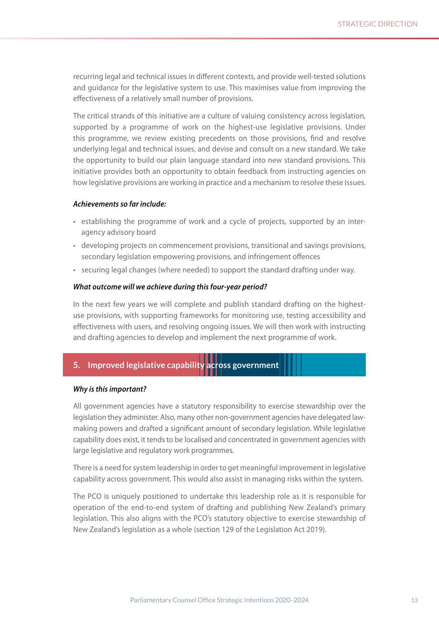recurring legal and technical issues in different contexts, and provide well-tested solutions and guidance for the legislative system to use. This maximises value from improving the effectiveness of a relatively small number of provisions.

The critical strands of this initiative are a culture of valuing consistency across legislation, supported by a programme of work on the highest-use legislative provisions. Under this programme, we review existing precedents on those provisions, find and resolve underlying legal and technical issues, and devise and consult on a new standard. We take the opportunity to build our plain language standard into new standard provisions. This initiative provides both an opportunity to obtain feedback from instructing agencies on how legislative provisions are working in practice and a mechanism to resolve these issues.

#### *Achievements so far include:*

- establishing the programme of work and a cycle of projects, supported by an interagency advisory board
- developing projects on commencement provisions, transitional and savings provisions, secondary legislation empowering provisions, and infringement offences
- securing legal changes (where needed) to support the standard drafting under way.

#### *What outcome will we achieve during this four-year period?*

In the next few years we will complete and publish standard drafting on the highestuse provisions, with supporting frameworks for monitoring use, testing accessibility and effectiveness with users, and resolving ongoing issues. We will then work with instructing and drafting agencies to develop and implement the next programme of work.

#### **5. Improved legislative capability across government**

#### *Why is this important?*

All government agencies have a statutory responsibility to exercise stewardship over the legislation they administer. Also, many other non-government agencies have delegated lawmaking powers and drafted a significant amount of secondary legislation. While legislative capability does exist, it tends to be localised and concentrated in government agencies with large legislative and regulatory work programmes.

There is a need for system leadership in order to get meaningful improvement in legislative capability across government. This would also assist in managing risks within the system.

The PCO is uniquely positioned to undertake this leadership role as it is responsible for operation of the end-to-end system of drafting and publishing New Zealand's primary legislation. This also aligns with the PCO's statutory objective to exercise stewardship of New Zealand's legislation as a whole (section 129 of the Legislation Act 2019).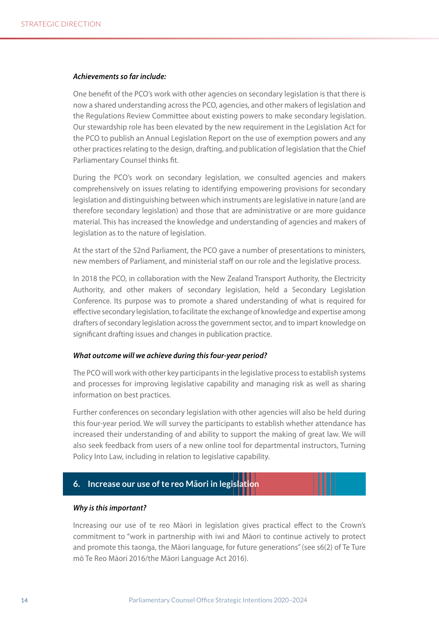#### *Achievements so far include:*

One benefit of the PCO's work with other agencies on secondary legislation is that there is now a shared understanding across the PCO, agencies, and other makers of legislation and the Regulations Review Committee about existing powers to make secondary legislation. Our stewardship role has been elevated by the new requirement in the Legislation Act for the PCO to publish an Annual Legislation Report on the use of exemption powers and any other practices relating to the design, drafting, and publication of legislation that the Chief Parliamentary Counsel thinks fit.

During the PCO's work on secondary legislation, we consulted agencies and makers comprehensively on issues relating to identifying empowering provisions for secondary legislation and distinguishing between which instruments are legislative in nature (and are therefore secondary legislation) and those that are administrative or are more guidance material. This has increased the knowledge and understanding of agencies and makers of legislation as to the nature of legislation.

At the start of the 52nd Parliament, the PCO gave a number of presentations to ministers, new members of Parliament, and ministerial staff on our role and the legislative process.

In 2018 the PCO, in collaboration with the New Zealand Transport Authority, the Electricity Authority, and other makers of secondary legislation, held a Secondary Legislation Conference. Its purpose was to promote a shared understanding of what is required for effective secondary legislation, to facilitate the exchange of knowledge and expertise among drafters of secondary legislation across the government sector, and to impart knowledge on significant drafting issues and changes in publication practice.

#### *What outcome will we achieve during this four-year period?*

The PCO will work with other key participants in the legislative process to establish systems and processes for improving legislative capability and managing risk as well as sharing information on best practices.

Further conferences on secondary legislation with other agencies will also be held during this four-year period. We will survey the participants to establish whether attendance has increased their understanding of and ability to support the making of great law. We will also seek feedback from users of a new online tool for departmental instructors, Turning Policy Into Law, including in relation to legislative capability.

#### **6. Increase our use of te reo Ma¯ori in legislation**

#### *Why is this important?*

Increasing our use of te reo Māori in legislation gives practical effect to the Crown's commitment to "work in partnership with iwi and Māori to continue actively to protect and promote this taonga, the Māori language, for future generations" (see s6(2) of Te Ture mō Te Reo Māori 2016/the Māori Language Act 2016).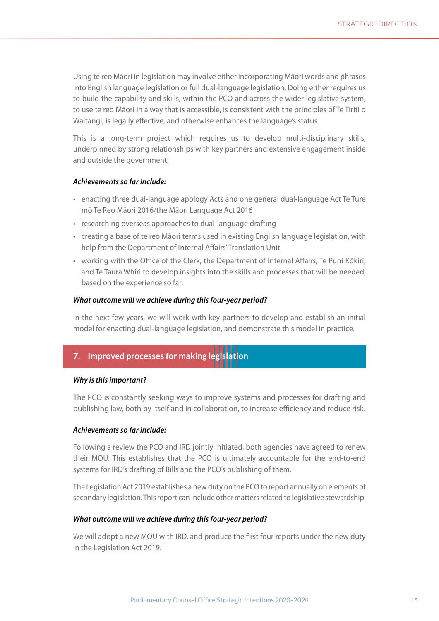Using te reo Māori in legislation may involve either incorporating Māori words and phrases into English language legislation or full dual-language legislation. Doing either requires us to build the capability and skills, within the PCO and across the wider legislative system, to use te reo Māori in a way that is accessible, is consistent with the principles of Te Tiriti o Waitangi, is legally effective, and otherwise enhances the language's status.

This is a long-term project which requires us to develop multi-disciplinary skills, underpinned by strong relationships with key partners and extensive engagement inside and outside the government.

#### *Achievements so far include:*

- enacting three dual-language apology Acts and one general dual-language Act Te Ture mō Te Reo Māori 2016/the Māori Language Act 2016
- researching overseas approaches to dual-language drafting
- creating a base of te reo Māori terms used in existing English language legislation, with help from the Department of Internal Affairs' Translation Unit
- working with the Office of the Clerk, the Department of Internal Affairs, Te Puni Kōkiri, and Te Taura Whiri to develop insights into the skills and processes that will be needed, based on the experience so far.

#### *What outcome will we achieve during this four-year period?*

In the next few years, we will work with key partners to develop and establish an initial model for enacting dual-language legislation, and demonstrate this model in practice.

#### **7. Improved processes for making legis**

#### *Why is this important?*

The PCO is constantly seeking ways to improve systems and processes for drafting and publishing law, both by itself and in collaboration, to increase efficiency and reduce risk.

#### *Achievements so far include:*

Following a review the PCO and IRD jointly initiated, both agencies have agreed to renew their MOU. This establishes that the PCO is ultimately accountable for the end-to-end systems for IRD's drafting of Bills and the PCO's publishing of them.

The Legislation Act 2019 establishes a new duty on the PCO to report annually on elements of secondary legislation. This report can include other matters related to legislative stewardship.

#### *What outcome will we achieve during this four-year period?*

We will adopt a new MOU with IRD, and produce the first four reports under the new duty in the Legislation Act 2019.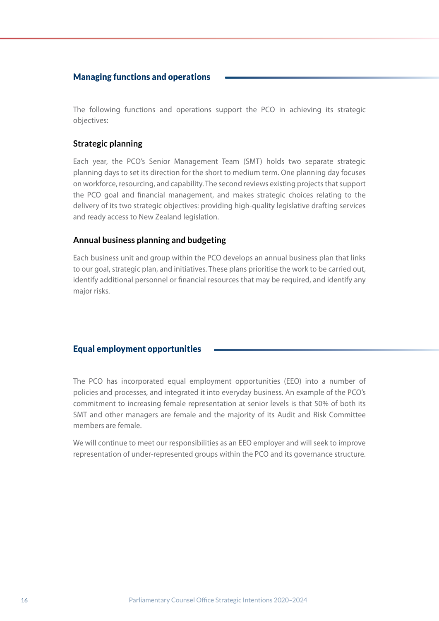#### <span id="page-17-0"></span>Managing functions and operations

The following functions and operations support the PCO in achieving its strategic objectives:

#### **Strategic planning**

Each year, the PCO's Senior Management Team (SMT) holds two separate strategic planning days to set its direction for the short to medium term. One planning day focuses on workforce, resourcing, and capability. The second reviews existing projects that support the PCO goal and financial management, and makes strategic choices relating to the delivery of its two strategic objectives: providing high-quality legislative drafting services and ready access to New Zealand legislation.

#### **Annual business planning and budgeting**

Each business unit and group within the PCO develops an annual business plan that links to our goal, strategic plan, and initiatives. These plans prioritise the work to be carried out, identify additional personnel or financial resources that may be required, and identify any major risks.

#### Equal employment opportunities

The PCO has incorporated equal employment opportunities (EEO) into a number of policies and processes, and integrated it into everyday business. An example of the PCO's commitment to increasing female representation at senior levels is that 50% of both its SMT and other managers are female and the majority of its Audit and Risk Committee members are female.

We will continue to meet our responsibilities as an EEO employer and will seek to improve representation of under-represented groups within the PCO and its governance structure.